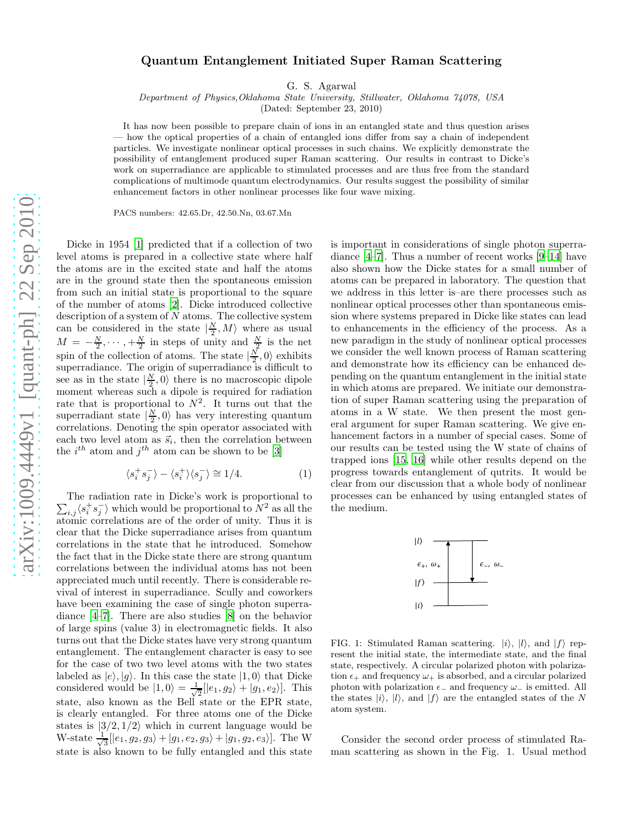## Quantum Entanglement Initiated Super Raman Scattering

G. S. Agarwal

Department of Physics,Oklahoma State University, Stillwater, Oklahoma 74078, USA

(Dated: September 23, 2010)

It has now been possible to prepare chain of ions in an entangled state and thus question arises — how the optical properties of a chain of entangled ions differ from say a chain of independent particles. We investigate nonlinear optical processes in such chains. We explicitly demonstrate the possibility of entanglement produced super Raman scattering. Our results in contrast to Dicke's work on superradiance are applicable to stimulated processes and are thus free from the standard complications of multimode quantum electrodynamics. Our results suggest the possibility of similar enhancement factors in other nonlinear processes like four wave mixing.

PACS numbers: 42.65.Dr, 42.50.Nn, 03.67.Mn

Dicke in 1954 [\[1](#page-2-0)] predicted that if a collection of two level atoms is prepared in a collective state where half the atoms are in the excited state and half the atoms are in the ground state then the spontaneous emission from such an initial state is proportional to the square of the number of atoms [\[2\]](#page-2-1). Dicke introduced collective description of a system of  $N$  atoms. The collective system can be considered in the state  $|\frac{N}{2}, M\rangle$  where as usual  $M = -\frac{N}{2}, \cdots, +\frac{N}{2}$  in steps of unity and  $\frac{N}{2}$  is the net spin of the collection of atoms. The state  $\left|\frac{N}{2},0\right\rangle$  exhibits superradiance. The origin of superradiance is difficult to see as in the state  $|\frac{N}{2}, 0\rangle$  there is no macroscopic dipole moment whereas such a dipole is required for radiation rate that is proportional to  $N^2$ . It turns out that the superradiant state  $\left|\frac{N}{2},0\right\rangle$  has very interesting quantum correlations. Denoting the spin operator associated with each two level atom as  $\vec{s}_i$ , then the correlation between the  $i^{th}$  atom and  $j^{th}$  atom can be shown to be [\[3](#page-2-2)]

$$
\langle s_i^+ s_j^- \rangle - \langle s_i^+ \rangle \langle s_j^- \rangle \cong 1/4. \tag{1}
$$

 $\sum_{i,j} \langle s_i^+ s_j^- \rangle$  which would be proportional to  $N^2$  as all the The radiation rate in Dicke's work is proportional to atomic correlations are of the order of unity. Thus it is clear that the Dicke superradiance arises from quantum correlations in the state that he introduced. Somehow the fact that in the Dicke state there are strong quantum correlations between the individual atoms has not been appreciated much until recently. There is considerable revival of interest in superradiance. Scully and coworkers have been examining the case of single photon superradiance [\[4](#page-2-3)[–7](#page-2-4)]. There are also studies [\[8](#page-2-5)] on the behavior of large spins (value 3) in electromagnetic fields. It also turns out that the Dicke states have very strong quantum entanglement. The entanglement character is easy to see for the case of two two level atoms with the two states labeled as  $|e\rangle$ ,  $|g\rangle$ . In this case the state  $|1, 0\rangle$  that Dicke considered would be  $|1,0\rangle = \frac{1}{\sqrt{2}}$  $\frac{1}{2}$ [ $|e_1, g_2\rangle + |g_1, e_2\rangle$ ]. This state, also known as the Bell state or the EPR state, is clearly entangled. For three atoms one of the Dicke states is  $|3/2, 1/2\rangle$  which in current language would be W-state  $\frac{1}{\sqrt{2}}$  $\frac{1}{3}$ [ $|e_1, g_2, g_3\rangle + |g_1, e_2, g_3\rangle + |g_1, g_2, e_3\rangle$ ]. The W state is also known to be fully entangled and this state

is important in considerations of single photon superradiance [\[4](#page-2-3)[–7\]](#page-2-4). Thus a number of recent works [\[9](#page-2-6)[–14\]](#page-2-7) have also shown how the Dicke states for a small number of atoms can be prepared in laboratory. The question that we address in this letter is–are there processes such as nonlinear optical processes other than spontaneous emission where systems prepared in Dicke like states can lead to enhancements in the efficiency of the process. As a new paradigm in the study of nonlinear optical processes we consider the well known process of Raman scattering and demonstrate how its efficiency can be enhanced depending on the quantum entanglement in the initial state in which atoms are prepared. We initiate our demonstration of super Raman scattering using the preparation of atoms in a W state. We then present the most general argument for super Raman scattering. We give enhancement factors in a number of special cases. Some of our results can be tested using the W state of chains of trapped ions [\[15](#page-3-0), [16\]](#page-3-1) while other results depend on the progress towards entanglement of qutrits. It would be clear from our discussion that a whole body of nonlinear processes can be enhanced by using entangled states of the medium.



FIG. 1: Stimulated Raman scattering.  $|i\rangle$ ,  $|l\rangle$ , and  $|f\rangle$  represent the initial state, the intermediate state, and the final state, respectively. A circular polarized photon with polarization  $\epsilon_+$  and frequency  $\omega_+$  is absorbed, and a circular polarized photon with polarization  $\epsilon_-\$  and frequency  $\omega_-\$  is emitted. All the states  $|i\rangle$ ,  $|l\rangle$ , and  $|f\rangle$  are the entangled states of the N atom system.

Consider the second order process of stimulated Raman scattering as shown in the Fig. 1. Usual method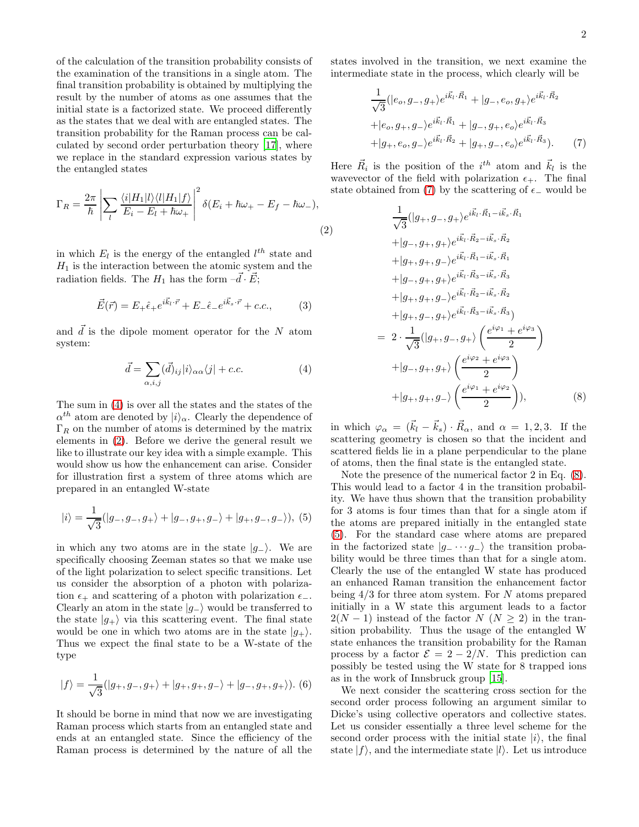of the calculation of the transition probability consists of the examination of the transitions in a single atom. The final transition probability is obtained by multiplying the result by the number of atoms as one assumes that the initial state is a factorized state. We proceed differently as the states that we deal with are entangled states. The transition probability for the Raman process can be calculated by second order perturbation theory [\[17\]](#page-3-2), where we replace in the standard expression various states by the entangled states

<span id="page-1-1"></span>
$$
\Gamma_R = \frac{2\pi}{\hbar} \left| \sum_l \frac{\langle i | H_1 | l \rangle \langle l | H_1 | f \rangle}{E_i - E_l + \hbar \omega_+} \right|^2 \delta(E_i + \hbar \omega_+ - E_f - \hbar \omega_-),
$$
\n(

in which  $E_l$  is the energy of the entangled  $l^{th}$  state and  $H_1$  is the interaction between the atomic system and the radiation fields. The  $H_1$  has the form  $-\vec{d} \cdot \vec{E}$ ;

$$
\vec{E}(\vec{r}) = E_{+}\hat{\epsilon}_{+}e^{i\vec{k}_{l}\cdot\vec{r}} + E_{-}\hat{\epsilon}_{-}e^{i\vec{k}_{s}\cdot\vec{r}} + c.c., \qquad (3)
$$

and  $\vec{d}$  is the dipole moment operator for the N atom system:

<span id="page-1-0"></span>
$$
\vec{d} = \sum_{\alpha,i,j} (\vec{d})_{ij} |i\rangle_{\alpha\alpha} \langle j| + c.c.
$$
 (4)

The sum in [\(4\)](#page-1-0) is over all the states and the states of the  $\alpha^{th}$  atom are denoted by  $|i\rangle_{\alpha}$ . Clearly the dependence of  $\Gamma_R$  on the number of atoms is determined by the matrix elements in [\(2\)](#page-1-1). Before we derive the general result we like to illustrate our key idea with a simple example. This would show us how the enhancement can arise. Consider for illustration first a system of three atoms which are prepared in an entangled W-state

<span id="page-1-4"></span>
$$
|i\rangle = \frac{1}{\sqrt{3}}(|g_-, g_-, g_+\rangle + |g_-, g_+, g_-\rangle + |g_+, g_-, g_-\rangle), (5)
$$

in which any two atoms are in the state  $|q_-\rangle$ . We are specifically choosing Zeeman states so that we make use of the light polarization to select specific transitions. Let us consider the absorption of a photon with polarization  $\epsilon_+$  and scattering of a photon with polarization  $\epsilon_-.$ Clearly an atom in the state  $|g_-\rangle$  would be transferred to the state  $|g_{+}\rangle$  via this scattering event. The final state would be one in which two atoms are in the state  $|g_{+}\rangle$ . Thus we expect the final state to be a W-state of the type

$$
|f\rangle = \frac{1}{\sqrt{3}}(|g_+, g_-, g_+\rangle + |g_+, g_+, g_-\rangle + |g_-, g_+, g_+\rangle).
$$
 (6)

It should be borne in mind that now we are investigating Raman process which starts from an entangled state and ends at an entangled state. Since the efficiency of the Raman process is determined by the nature of all the

states involved in the transition, we next examine the intermediate state in the process, which clearly will be

<span id="page-1-2"></span>
$$
\frac{1}{\sqrt{3}}(|e_o, g_-, g_+\rangle e^{i\vec{k}_l \cdot \vec{R}_1} + |g_-, e_o, g_+\rangle e^{i\vec{k}_l \cdot \vec{R}_2} \n+ |e_o, g_+, g_-\rangle e^{i\vec{k}_l \cdot \vec{R}_1} + |g_-, g_+, e_o\rangle e^{i\vec{k}_l \cdot \vec{R}_3} \n+ |g_+, e_o, g_-\rangle e^{i\vec{k}_l \cdot \vec{R}_2} + |g_+, g_-, e_o\rangle e^{i\vec{k}_l \cdot \vec{R}_3}).
$$
\n(7)

Here  $\vec{R}_i$  is the position of the  $i^{th}$  atom and  $\vec{k}_l$  is the wavevector of the field with polarization  $\epsilon_{+}$ . The final state obtained from [\(7\)](#page-1-2) by the scattering of  $\epsilon_$  would be

<span id="page-1-3"></span>(2)  
\n
$$
\frac{1}{\sqrt{3}}(|g_+, g_-, g_+ \rangle e^{i\vec{k}_l \cdot \vec{R}_1 - i\vec{k}_s \cdot \vec{R}_1}
$$
\n
$$
+ |g_-, g_+, g_+ \rangle e^{i\vec{k}_l \cdot \vec{R}_2 - i\vec{k}_s \cdot \vec{R}_2}
$$
\n
$$
+ |g_+, g_+, g_- \rangle e^{i\vec{k}_l \cdot \vec{R}_1 - i\vec{k}_s \cdot \vec{R}_1}
$$
\n
$$
+ |g_-, g_+, g_+ \rangle e^{i\vec{k}_l \cdot \vec{R}_3 - i\vec{k}_s \cdot \vec{R}_3}
$$
\n
$$
+ |g_+, g_-, g_+ \rangle e^{i\vec{k}_l \cdot \vec{R}_3 - i\vec{k}_s \cdot \vec{R}_3}
$$
\n
$$
= 2 \cdot \frac{1}{\sqrt{3}} (|g_+, g_-, g_+ \rangle \left( \frac{e^{i\varphi_1} + e^{i\varphi_3}}{2} \right)
$$
\n
$$
+ |g_-, g_+, g_+ \rangle \left( \frac{e^{i\varphi_2} + e^{i\varphi_3}}{2} \right)
$$
\n
$$
+ |g_+, g_+, g_- \rangle \left( \frac{e^{i\varphi_1} + e^{i\varphi_2}}{2} \right), \tag{8}
$$

in which  $\varphi_{\alpha} = (\vec{k}_l - \vec{k}_s) \cdot \vec{R}_{\alpha}$ , and  $\alpha = 1, 2, 3$ . If the scattering geometry is chosen so that the incident and scattered fields lie in a plane perpendicular to the plane of atoms, then the final state is the entangled state.

Note the presence of the numerical factor 2 in Eq. [\(8\)](#page-1-3). This would lead to a factor 4 in the transition probability. We have thus shown that the transition probability for 3 atoms is four times than that for a single atom if the atoms are prepared initially in the entangled state [\(5\)](#page-1-4). For the standard case where atoms are prepared in the factorized state  $|g_-\cdots g_n\rangle$  the transition probability would be three times than that for a single atom. Clearly the use of the entangled W state has produced an enhanced Raman transition the enhancement factor being  $4/3$  for three atom system. For N atoms prepared initially in a W state this argument leads to a factor  $2(N-1)$  instead of the factor  $N (N \geq 2)$  in the transition probability. Thus the usage of the entangled W state enhances the transition probability for the Raman process by a factor  $\mathcal{E} = 2 - 2/N$ . This prediction can possibly be tested using the W state for 8 trapped ions as in the work of Innsbruck group [\[15](#page-3-0)].

We next consider the scattering cross section for the second order process following an argument similar to Dicke's using collective operators and collective states. Let us consider essentially a three level scheme for the second order process with the initial state  $|i\rangle$ , the final state  $|f\rangle$ , and the intermediate state  $|l\rangle$ . Let us introduce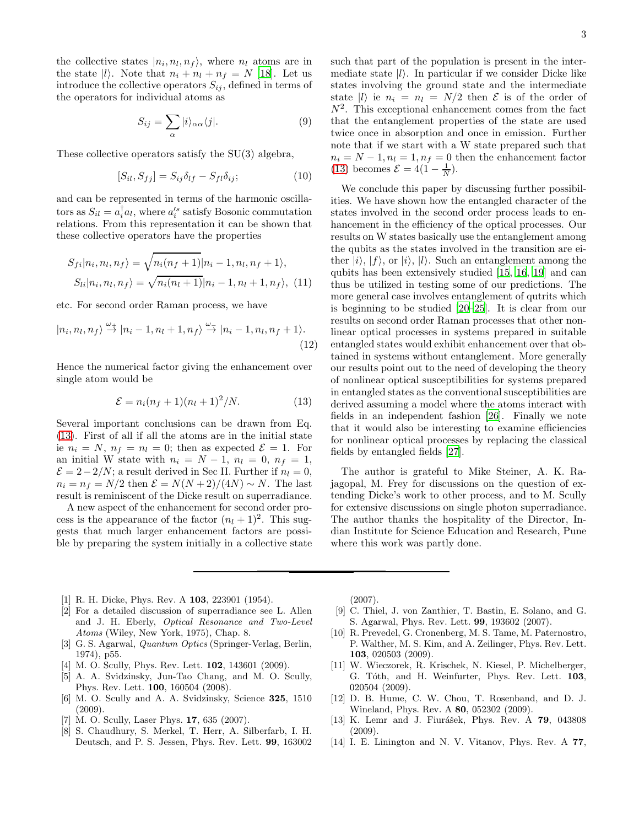the collective states  $|n_i, n_l, n_f\rangle$ , where  $n_l$  atoms are in the state  $|l\rangle$ . Note that  $n_i + n_l + n_f = N$  [\[18](#page-3-3)]. Let us introduce the collective operators  $S_{ij}$ , defined in terms of the operators for individual atoms as

$$
S_{ij} = \sum_{\alpha} |i\rangle_{\alpha\alpha} \langle j|.
$$
 (9)

These collective operators satisfy the SU(3) algebra,

$$
[S_{il}, S_{fj}] = S_{ij}\delta_{lf} - S_{fl}\delta_{ij};\tag{10}
$$

and can be represented in terms of the harmonic oscillators as  $S_{il} = a_i^{\dagger} a_l$ , where  $a_i^{\prime s}$  satisfy Bosonic commutation relations. From this representation it can be shown that these collective operators have the properties

$$
S_{fi}|n_i, n_l, n_f\rangle = \sqrt{n_i(n_f+1)}|n_i-1, n_l, n_f+1\rangle,
$$
  
\n
$$
S_{li}|n_i, n_l, n_f\rangle = \sqrt{n_i(n_l+1)}|n_i-1, n_l+1, n_f\rangle, (11)
$$

etc. For second order Raman process, we have

$$
|n_i, n_l, n_f\rangle \stackrel{\omega_+}{\rightarrow} |n_i - 1, n_l + 1, n_f\rangle \stackrel{\omega_-}{\rightarrow} |n_i - 1, n_l, n_f + 1\rangle.
$$
\n(12)

Hence the numerical factor giving the enhancement over single atom would be

<span id="page-2-8"></span>
$$
\mathcal{E} = n_i(n_f + 1)(n_l + 1)^2/N.
$$
 (13)

Several important conclusions can be drawn from Eq. [\(13\)](#page-2-8). First of all if all the atoms are in the initial state ie  $n_i = N$ ,  $n_f = n_l = 0$ ; then as expected  $\mathcal{E} = 1$ . For an initial W state with  $n_i = N - 1$ ,  $n_l = 0$ ,  $n_f = 1$ ,  $\mathcal{E} = 2-2/N$ ; a result derived in Sec II. Further if  $n_l = 0$ ,  $n_i = n_f = N/2$  then  $\mathcal{E} = N(N+2)/(4N) \sim N$ . The last result is reminiscent of the Dicke result on superradiance.

A new aspect of the enhancement for second order process is the appearance of the factor  $(n_l + 1)^2$ . This suggests that much larger enhancement factors are possible by preparing the system initially in a collective state such that part of the population is present in the intermediate state  $|l\rangle$ . In particular if we consider Dicke like states involving the ground state and the intermediate state  $|l\rangle$  ie  $n_i = n_l = N/2$  then  $\mathcal E$  is of the order of  $N^2$ . This exceptional enhancement comes from the fact that the entanglement properties of the state are used twice once in absorption and once in emission. Further note that if we start with a W state prepared such that  $n_i = N - 1, n_l = 1, n_f = 0$  then the enhancement factor [\(13\)](#page-2-8) becomes  $\mathcal{E} = 4(1 - \frac{1}{N}).$ 

We conclude this paper by discussing further possibilities. We have shown how the entangled character of the states involved in the second order process leads to enhancement in the efficiency of the optical processes. Our results on W states basically use the entanglement among the qubits as the states involved in the transition are either  $|i\rangle$ ,  $|f\rangle$ , or  $|i\rangle$ ,  $|l\rangle$ . Such an entanglement among the qubits has been extensively studied [\[15,](#page-3-0) [16,](#page-3-1) [19](#page-3-4)] and can thus be utilized in testing some of our predictions. The more general case involves entanglement of qutrits which is beginning to be studied [\[20](#page-3-5)[–25\]](#page-3-6). It is clear from our results on second order Raman processes that other nonlinear optical processes in systems prepared in suitable entangled states would exhibit enhancement over that obtained in systems without entanglement. More generally our results point out to the need of developing the theory of nonlinear optical susceptibilities for systems prepared in entangled states as the conventional susceptibilities are derived assuming a model where the atoms interact with fields in an independent fashion [\[26\]](#page-3-7). Finally we note that it would also be interesting to examine efficiencies for nonlinear optical processes by replacing the classical fields by entangled fields [\[27\]](#page-3-8).

The author is grateful to Mike Steiner, A. K. Rajagopal, M. Frey for discussions on the question of extending Dicke's work to other process, and to M. Scully for extensive discussions on single photon superradiance. The author thanks the hospitality of the Director, Indian Institute for Science Education and Research, Pune where this work was partly done.

- <span id="page-2-0"></span>[1] R. H. Dicke, Phys. Rev. A **103**, 223901 (1954).
- <span id="page-2-1"></span>[2] For a detailed discussion of superradiance see L. Allen and J. H. Eberly, Optical Resonance and Two-Level Atoms (Wiley, New York, 1975), Chap. 8.
- <span id="page-2-2"></span>[3] G. S. Agarwal, Quantum Optics (Springer-Verlag, Berlin, 1974), p55.
- <span id="page-2-3"></span>[4] M. O. Scully, Phys. Rev. Lett. **102**, 143601 (2009).
- [5] A. A. Svidzinsky, Jun-Tao Chang, and M. O. Scully, Phys. Rev. Lett. 100, 160504 (2008).
- [6] M. O. Scully and A. A. Svidzinsky, Science 325, 1510 (2009).
- <span id="page-2-4"></span>M. O. Scully, Laser Phys. **17**, 635 (2007).
- <span id="page-2-5"></span>[8] S. Chaudhury, S. Merkel, T. Herr, A. Silberfarb, I. H. Deutsch, and P. S. Jessen, Phys. Rev. Lett. 99, 163002

(2007).

- <span id="page-2-6"></span>[9] C. Thiel, J. von Zanthier, T. Bastin, E. Solano, and G. S. Agarwal, Phys. Rev. Lett. 99, 193602 (2007).
- [10] R. Prevedel, G. Cronenberg, M. S. Tame, M. Paternostro, P. Walther, M. S. Kim, and A. Zeilinger, Phys. Rev. Lett. 103, 020503 (2009).
- [11] W. Wieczorek, R. Krischek, N. Kiesel, P. Michelberger, G. Tóth, and H. Weinfurter, Phys. Rev. Lett. 103, 020504 (2009).
- [12] D. B. Hume, C. W. Chou, T. Rosenband, and D. J. Wineland, Phys. Rev. A 80, 052302 (2009).
- [13] K. Lemr and J. Fiurášek, Phys. Rev. A 79, 043808 (2009).
- <span id="page-2-7"></span>[14] I. E. Linington and N. V. Vitanov, Phys. Rev. A 77,